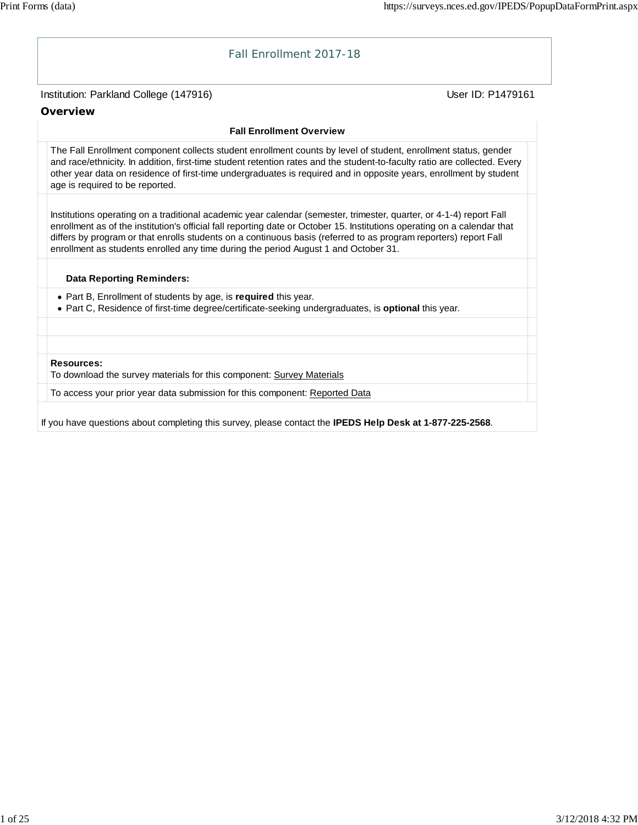

If you have questions about completing this survey, please contact the **IPEDS Help Desk at 1-877-225-2568**.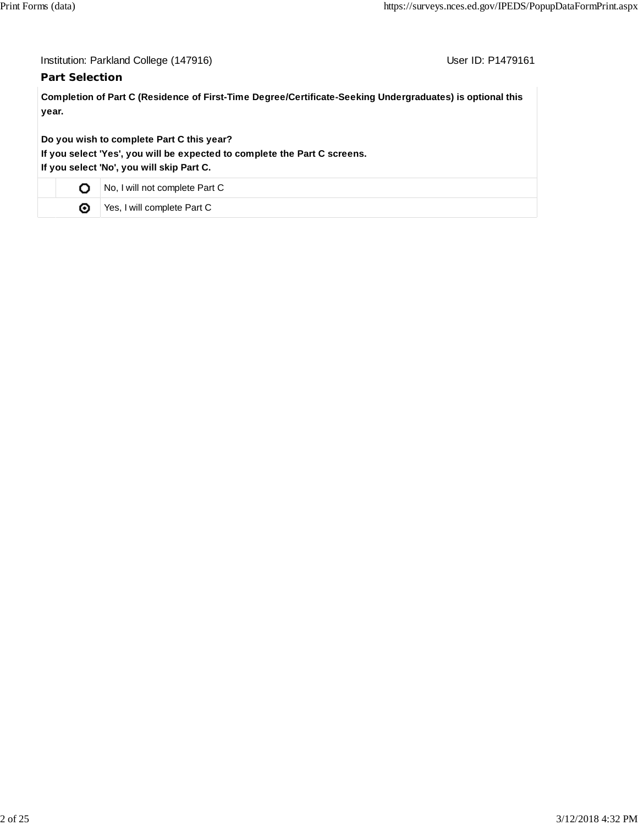| Institution: Parkland College (147916) |  |  |
|----------------------------------------|--|--|
|----------------------------------------|--|--|

# **Part Selection**

User ID: P1479161

**Completion of Part C (Residence of First-Time Degree/Certificate-Seeking Undergraduates) is optional this year.**

**Do you wish to complete Part C this year?**

**If you select 'Yes', you will be expected to complete the Part C screens.**

**If you select 'No', you will skip Part C.**

|  | No, I will not complete Part C |
|--|--------------------------------|
|  | Yes, I will complete Part C    |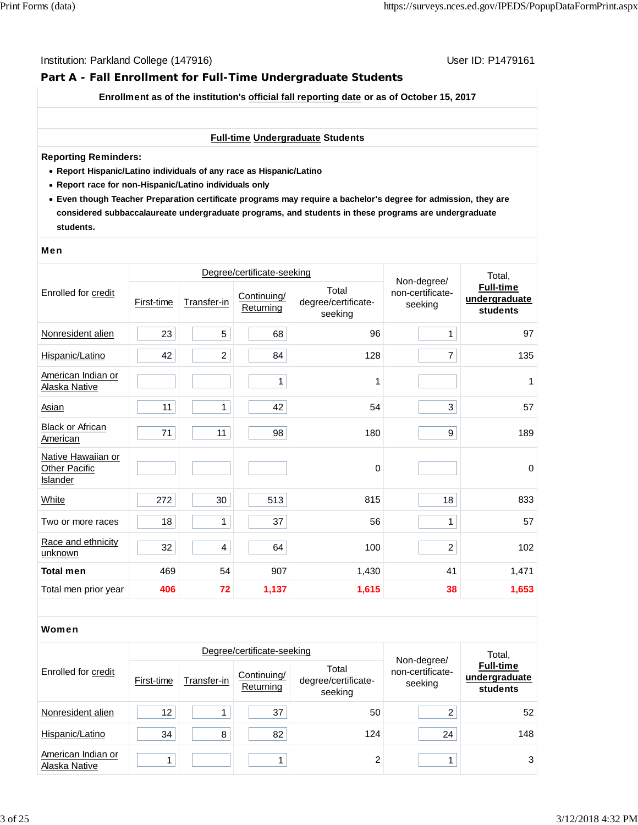# **Part A - Fall Enrollment for Full-Time Undergraduate Students**

**Enrollment as of the institution's official fall reporting date or as of October 15, 2017**

#### **Full-time Undergraduate Students**

#### **Reporting Reminders:**

- **Report Hispanic/Latino individuals of any race as Hispanic/Latino**
- **Report race for non-Hispanic/Latino individuals only**
- **Even though Teacher Preparation certificate programs may require a bachelor's degree for admission, they are considered subbaccalaureate undergraduate programs, and students in these programs are undergraduate students.**

#### Men

|                                                               |            | Degree/certificate-seeking | Non-degree/              | Total,                                  |                             |                                        |
|---------------------------------------------------------------|------------|----------------------------|--------------------------|-----------------------------------------|-----------------------------|----------------------------------------|
| Enrolled for credit                                           | First-time | Transfer-in                | Continuing/<br>Returning | Total<br>degree/certificate-<br>seeking | non-certificate-<br>seeking | Full-time<br>undergraduate<br>students |
| Nonresident alien                                             | 23         | 5                          | 68                       | 96                                      | 1                           | 97                                     |
| Hispanic/Latino                                               | 42         | $\overline{c}$             | 84                       | 128                                     | $\overline{7}$              | 135                                    |
| American Indian or<br>Alaska Native                           |            |                            | 1                        | 1                                       |                             | 1                                      |
| <b>Asian</b>                                                  | 11         | 1                          | 42                       | 54                                      | 3                           | 57                                     |
| <b>Black or African</b><br>American                           | 71         | 11                         | 98                       | 180                                     | 9                           | 189                                    |
| Native Hawaiian or<br><b>Other Pacific</b><br><b>Islander</b> |            |                            |                          | $\mathbf 0$                             |                             | $\pmb{0}$                              |
| White                                                         | 272        | 30                         | 513                      | 815                                     | 18                          | 833                                    |
| Two or more races                                             | 18         | 1                          | 37                       | 56                                      | 1                           | 57                                     |
| Race and ethnicity<br>unknown                                 | 32         | $\overline{\mathbf{4}}$    | 64                       | 100                                     | $\overline{a}$              | 102                                    |
| <b>Total men</b>                                              | 469        | 54                         | 907                      | 1,430                                   | 41                          | 1,471                                  |
| Total men prior year                                          | 406        | 72                         | 1,137                    | 1,615                                   | 38                          | 1,653                                  |

#### Women

|                                     |            |             | Degree/certificate-seeking |                                         | Total,                                     |                                               |
|-------------------------------------|------------|-------------|----------------------------|-----------------------------------------|--------------------------------------------|-----------------------------------------------|
| Enrolled for credit                 | First-time | Transfer-in | Continuing/<br>Returning   | Total<br>degree/certificate-<br>seeking | Non-degree/<br>non-certificate-<br>seeking | <b>Full-time</b><br>undergraduate<br>students |
| Nonresident alien                   | 12         |             | 37                         | 50                                      | 2                                          | 52                                            |
| Hispanic/Latino                     | 34         | 8           | 82                         | 124                                     | 24                                         | 148                                           |
| American Indian or<br>Alaska Native |            |             |                            | ົ                                       |                                            | 3                                             |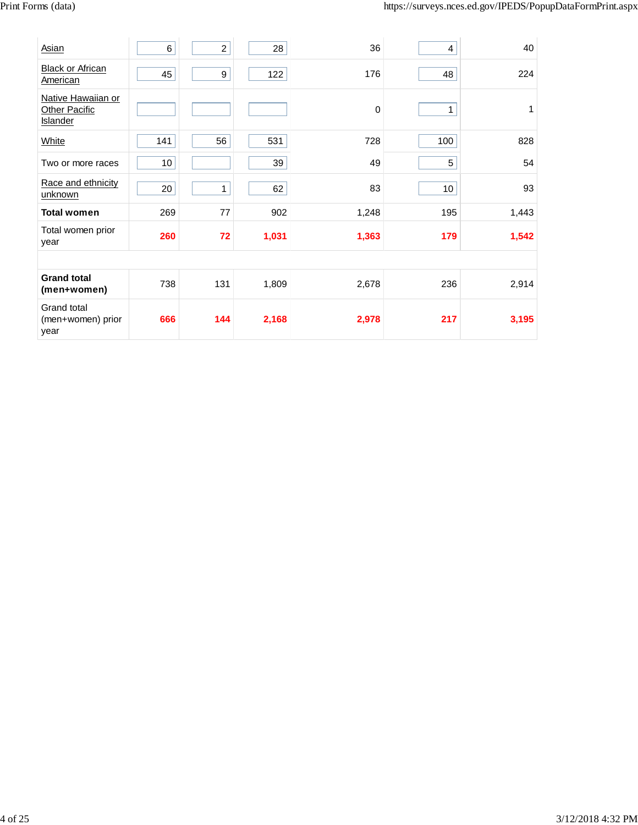| Asian                                                  | 6   | $\overline{a}$ | 28    | 36    | 4   | 40    |
|--------------------------------------------------------|-----|----------------|-------|-------|-----|-------|
| <b>Black or African</b><br>American                    | 45  | 9              | 122   | 176   | 48  | 224   |
| Native Hawaiian or<br><b>Other Pacific</b><br>Islander |     |                |       | 0     | 1   | 1     |
| White                                                  | 141 | 56             | 531   | 728   | 100 | 828   |
| Two or more races                                      | 10  |                | 39    | 49    | 5   | 54    |
| Race and ethnicity<br>unknown                          | 20  | $\mathbf{1}$   | 62    | 83    | 10  | 93    |
| <b>Total women</b>                                     | 269 | 77             | 902   | 1,248 | 195 | 1,443 |
| Total women prior<br>year                              | 260 | 72             | 1,031 | 1,363 | 179 | 1,542 |
|                                                        |     |                |       |       |     |       |
| <b>Grand total</b><br>(men+women)                      | 738 | 131            | 1,809 | 2,678 | 236 | 2,914 |
| Grand total<br>(men+women) prior<br>year               | 666 | 144            | 2,168 | 2,978 | 217 | 3,195 |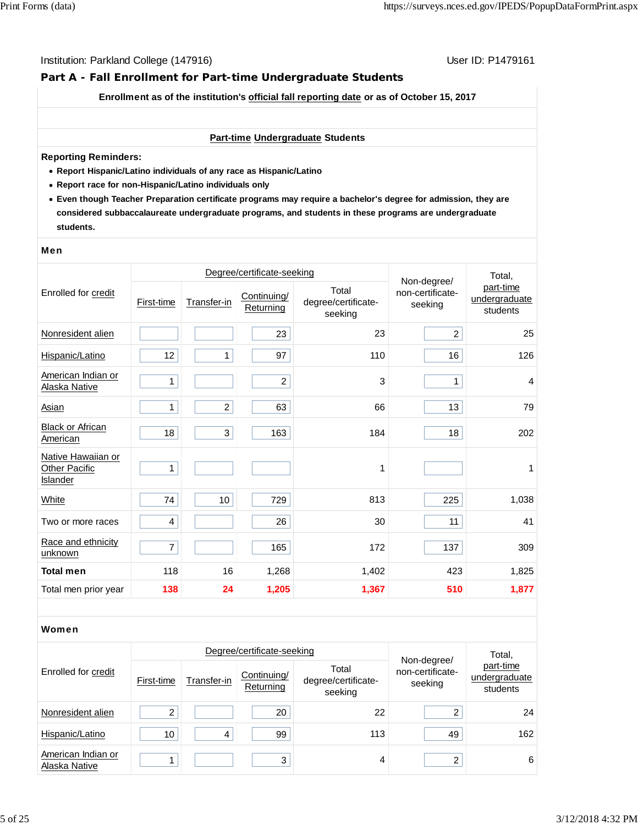# **Part A - Fall Enrollment for Part-time Undergraduate Students**

**Enrollment as of the institution's official fall reporting date or as of October 15, 2017**

#### **Part-time Undergraduate Students**

#### **Reporting Reminders:**

- **Report Hispanic/Latino individuals of any race as Hispanic/Latino**
- **Report race for non-Hispanic/Latino individuals only**
- **Even though Teacher Preparation certificate programs may require a bachelor's degree for admission, they are considered subbaccalaureate undergraduate programs, and students in these programs are undergraduate students.**

#### Men

|                                                        |                | Degree/certificate-seeking | Non-degree/              | Total,                                  |                             |                                        |
|--------------------------------------------------------|----------------|----------------------------|--------------------------|-----------------------------------------|-----------------------------|----------------------------------------|
| Enrolled for credit                                    | First-time     | Transfer-in                | Continuing/<br>Returning | Total<br>degree/certificate-<br>seeking | non-certificate-<br>seeking | part-time<br>undergraduate<br>students |
| Nonresident alien                                      |                |                            | 23                       | 23                                      | $\overline{c}$              | 25                                     |
| Hispanic/Latino                                        | 12             | 1                          | 97                       | 110                                     | 16                          | 126                                    |
| American Indian or<br>Alaska Native                    | 1              |                            | $\overline{c}$           | 3                                       | 1                           | $\overline{4}$                         |
| Asian                                                  | $\mathbf{1}$   | $\overline{c}$             | 63                       | 66                                      | 13                          | 79                                     |
| <b>Black or African</b><br>American                    | 18             | 3                          | 163                      | 184                                     | 18                          | 202                                    |
| Native Hawaiian or<br><b>Other Pacific</b><br>Islander | 1              |                            |                          | 1                                       |                             | 1                                      |
| White                                                  | 74             | 10                         | 729                      | 813                                     | 225                         | 1,038                                  |
| Two or more races                                      | 4              |                            | 26                       | 30                                      | 11                          | 41                                     |
| Race and ethnicity<br>unknown                          | $\overline{7}$ |                            | 165                      | 172                                     | 137                         | 309                                    |
| <b>Total men</b>                                       | 118            | 16                         | 1,268                    | 1,402                                   | 423                         | 1,825                                  |
| Total men prior year                                   | 138            | 24                         | 1,205                    | 1,367                                   | 510                         | 1,877                                  |

#### Women

|                                     |            | Degree/certificate-seeking |                          | Total,                                  |                                            |                                        |
|-------------------------------------|------------|----------------------------|--------------------------|-----------------------------------------|--------------------------------------------|----------------------------------------|
| Enrolled for credit                 | First-time | Transfer-in                | Continuing/<br>Returning | Total<br>degree/certificate-<br>seeking | Non-degree/<br>non-certificate-<br>seeking | part-time<br>undergraduate<br>students |
| Nonresident alien                   | 2          |                            | 20                       | 22                                      | っ                                          | 24                                     |
| Hispanic/Latino                     | 10         | 4                          | 99                       | 113                                     | 49                                         | 162                                    |
| American Indian or<br>Alaska Native |            |                            | 3                        | 4                                       | ົ                                          | 6                                      |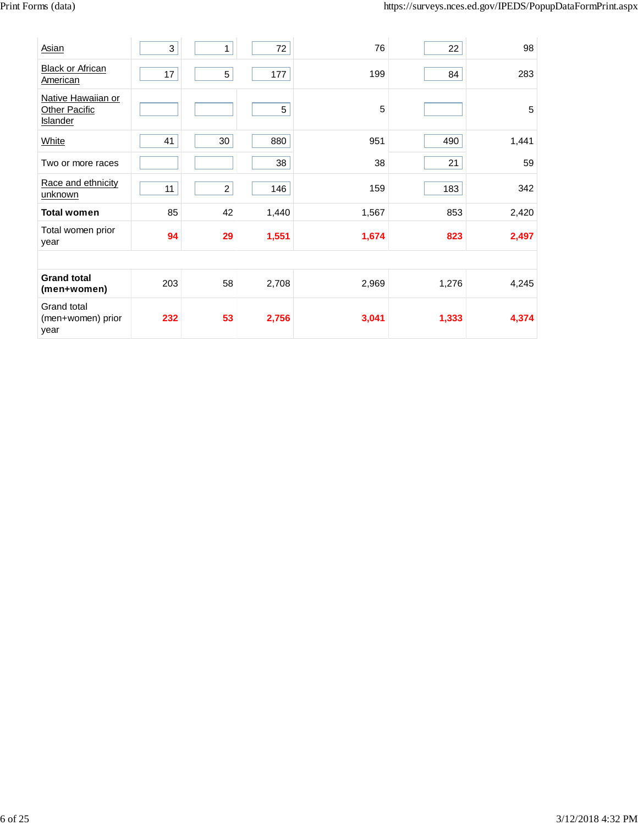| Asian                                           | 3   | 1                | 72          | 76    | 22    | 98    |
|-------------------------------------------------|-----|------------------|-------------|-------|-------|-------|
| <b>Black or African</b><br>American             | 17  | 5                | 177         | 199   | 84    | 283   |
| Native Hawaiian or<br>Other Pacific<br>Islander |     |                  | $\,$ 5 $\,$ | 5     |       | 5     |
| White                                           | 41  | 30               | 880         | 951   | 490   | 1,441 |
| Two or more races                               |     |                  | 38          | 38    | 21    | 59    |
| Race and ethnicity<br>unknown                   | 11  | $\boldsymbol{2}$ | 146         | 159   | 183   | 342   |
| <b>Total women</b>                              | 85  | 42               | 1,440       | 1,567 | 853   | 2,420 |
| Total women prior<br>year                       | 94  | 29               | 1,551       | 1,674 | 823   | 2,497 |
|                                                 |     |                  |             |       |       |       |
| <b>Grand total</b><br>(men+women)               | 203 | 58               | 2,708       | 2,969 | 1,276 | 4,245 |
| Grand total<br>(men+women) prior<br>year        | 232 | 53               | 2,756       | 3,041 | 1,333 | 4,374 |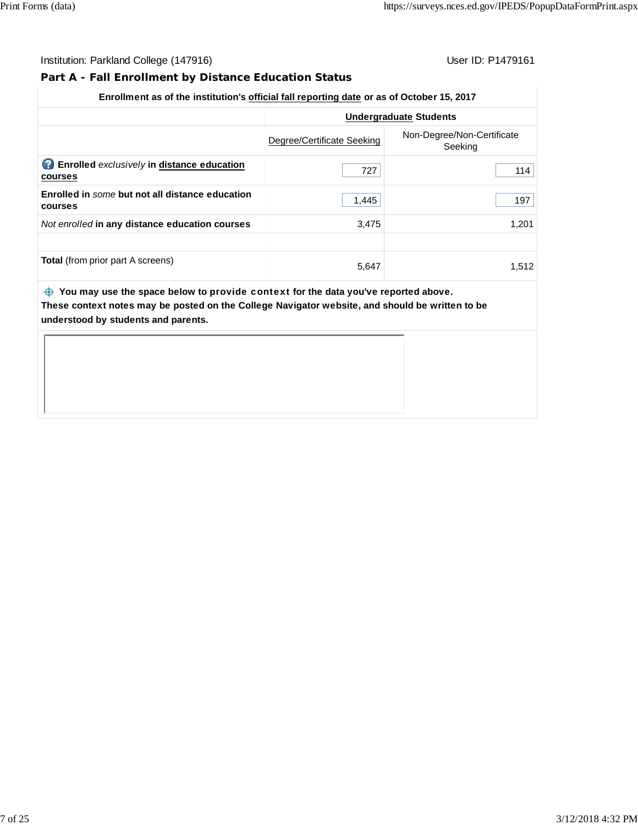# **Part A - Fall Enrollment by Distance Education Status**

# **Enrollment as of the institution's official fall reporting date or as of October 15, 2017**

|                                                                   |                            | <b>Undergraduate Students</b>         |
|-------------------------------------------------------------------|----------------------------|---------------------------------------|
|                                                                   | Degree/Certificate Seeking | Non-Degree/Non-Certificate<br>Seeking |
| 2<br><b>Enrolled</b> exclusively in distance education<br>courses | 727                        | 114                                   |
| Enrolled in some but not all distance education<br>courses        | 1,445                      | 197                                   |
| Not enrolled in any distance education courses                    | 3,475                      | 1.201                                 |
|                                                                   |                            |                                       |
| <b>Total</b> (from prior part A screens)                          | 5.647                      | 1.512                                 |

 **You may use the space below to** provide context **for the data you've reported above. These context notes may be posted on the College Navigator website, and should be written to be understood by students and parents.**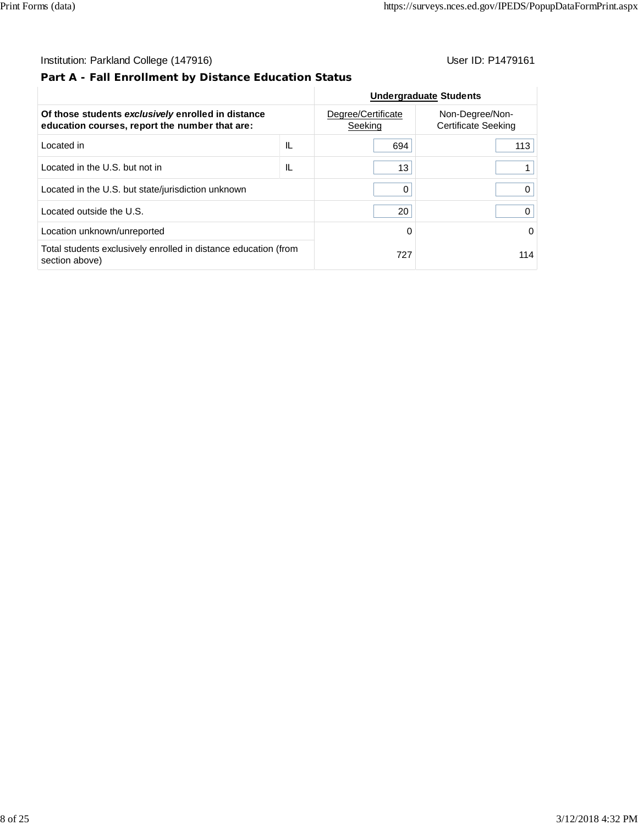# **Part A - Fall Enrollment by Distance Education Status**

|                                                                                                      |                               | <b>Undergraduate Students</b>          |          |
|------------------------------------------------------------------------------------------------------|-------------------------------|----------------------------------------|----------|
| Of those students exclusively enrolled in distance<br>education courses, report the number that are: | Degree/Certificate<br>Seeking | Non-Degree/Non-<br>Certificate Seeking |          |
| Located in                                                                                           | IL                            | 694                                    | 113      |
| Located in the U.S. but not in                                                                       | IL                            | 13                                     |          |
| Located in the U.S. but state/jurisdiction unknown                                                   | 0                             |                                        |          |
| Located outside the U.S.                                                                             |                               | 20                                     | 0        |
| Location unknown/unreported                                                                          |                               | $\Omega$                               | $\Omega$ |
| Total students exclusively enrolled in distance education (from<br>section above)                    | 727                           | 114                                    |          |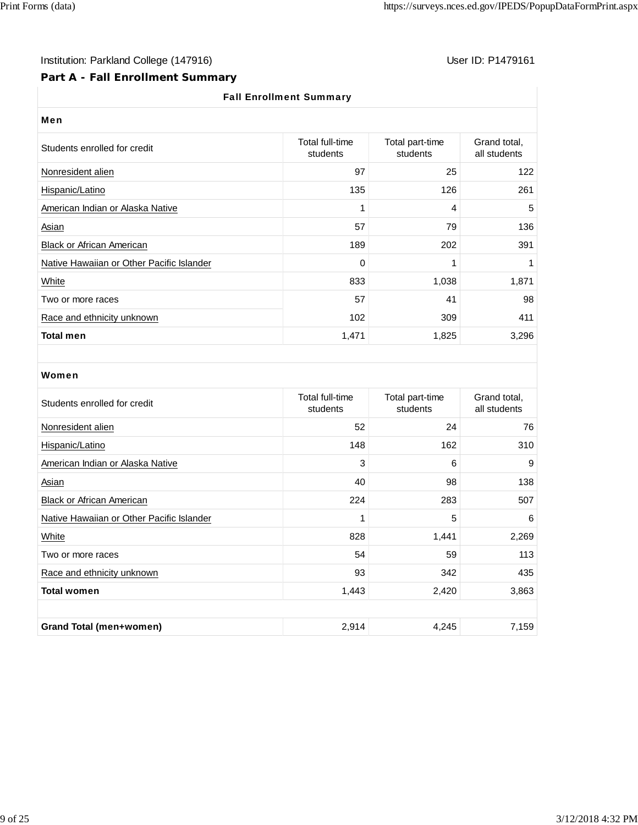# Institution: Parkland College (147916) Note that the User ID: P1479161

# **Part A - Fall Enrollment Summary**

# Fall Enrollment Summary

| <b>Men</b>                                |                             |                             |                              |  |  |  |  |
|-------------------------------------------|-----------------------------|-----------------------------|------------------------------|--|--|--|--|
| Students enrolled for credit              | Total full-time<br>students | Total part-time<br>students | Grand total,<br>all students |  |  |  |  |
| Nonresident alien                         | 97                          | 25                          | 122                          |  |  |  |  |
| Hispanic/Latino                           | 135                         | 126                         | 261                          |  |  |  |  |
| American Indian or Alaska Native          | 1                           | 4                           | 5                            |  |  |  |  |
| <b>Asian</b>                              | 57                          | 79                          | 136                          |  |  |  |  |
| <b>Black or African American</b>          | 189                         | 202                         | 391                          |  |  |  |  |
| Native Hawaiian or Other Pacific Islander | $\mathbf 0$                 | 1                           |                              |  |  |  |  |
| White                                     | 833                         | 1,038                       | 1,871                        |  |  |  |  |
| Two or more races                         | 57                          | 41                          | 98                           |  |  |  |  |
| Race and ethnicity unknown                | 102                         | 309                         | 411                          |  |  |  |  |
| <b>Total men</b>                          | 1,471                       | 1,825                       | 3,296                        |  |  |  |  |

### Women

| Students enrolled for credit                       | Total full-time<br>students | Total part-time<br>students | Grand total,<br>all students |  |  |  |
|----------------------------------------------------|-----------------------------|-----------------------------|------------------------------|--|--|--|
| Nonresident alien                                  | 52                          | 24                          | 76                           |  |  |  |
| Hispanic/Latino                                    | 148                         | 162                         | 310                          |  |  |  |
| American Indian or Alaska Native                   | 3                           | 6                           | 9                            |  |  |  |
| <b>Asian</b>                                       | 40                          | 98                          | 138                          |  |  |  |
| <b>Black or African American</b>                   | 224                         | 283                         | 507                          |  |  |  |
| Native Hawaiian or Other Pacific Islander          | 1                           | 5                           | 6                            |  |  |  |
| White                                              | 828                         | 1,441                       | 2,269                        |  |  |  |
| Two or more races                                  | 54                          | 59                          | 113                          |  |  |  |
| Race and ethnicity unknown                         | 93                          | 342                         | 435                          |  |  |  |
| <b>Total women</b>                                 | 1,443                       | 2,420                       | 3,863                        |  |  |  |
|                                                    |                             |                             |                              |  |  |  |
| 2,914<br>4,245<br>7,159<br>Grand Total (men+women) |                             |                             |                              |  |  |  |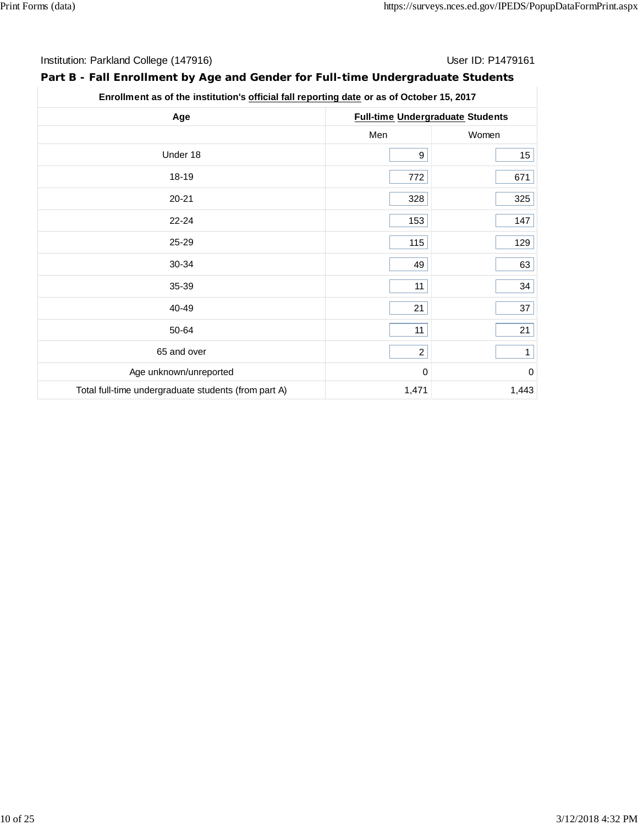# **Part B - Fall Enrollment by Age and Gender for Full-time Undergraduate Students**

| Age<br>Under 18<br>18-19<br>$20 - 21$<br>$22 - 24$<br>25-29<br>30-34<br>35-39<br>40-49<br>50-64<br>65 and over<br>Age unknown/unreported |              |                                         |
|------------------------------------------------------------------------------------------------------------------------------------------|--------------|-----------------------------------------|
|                                                                                                                                          |              | <b>Full-time Undergraduate Students</b> |
|                                                                                                                                          | Men          | Women                                   |
|                                                                                                                                          | 9            | $15\,$                                  |
|                                                                                                                                          | 772          | 671                                     |
|                                                                                                                                          | 328          | 325                                     |
|                                                                                                                                          | 153          | 147                                     |
|                                                                                                                                          | 115          | 129                                     |
|                                                                                                                                          | 49           | 63                                      |
|                                                                                                                                          | 11           | 34                                      |
|                                                                                                                                          | 21           | 37                                      |
|                                                                                                                                          | 11           | 21                                      |
|                                                                                                                                          | $\mathbf{2}$ | $\mathbf{1}$                            |
|                                                                                                                                          | 0            | $\overline{0}$                          |
| Total full-time undergraduate students (from part A)                                                                                     | 1,471        | 1,443                                   |

# **Enrollment as of the institution's official fall reporting date or as of October 15, 2017**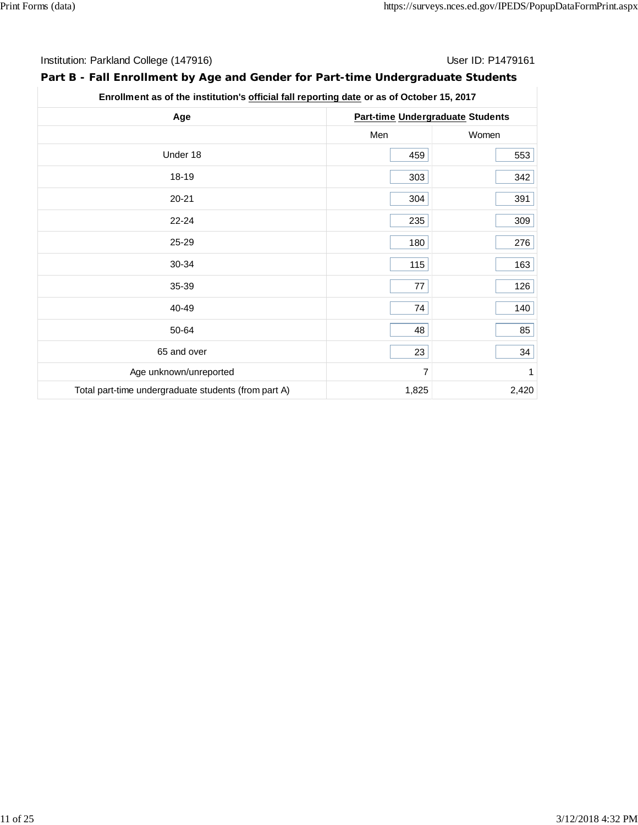# **Part B - Fall Enrollment by Age and Gender for Part-time Undergraduate Students**

|                        | Enrollment as of the institution's official fall reporting date or as of October 15, 2017 |       |  |  |  |
|------------------------|-------------------------------------------------------------------------------------------|-------|--|--|--|
| Age                    | <b>Part-time Undergraduate Students</b>                                                   |       |  |  |  |
|                        | Men                                                                                       | Women |  |  |  |
| Under 18               | 459                                                                                       | 553   |  |  |  |
| 18-19                  | 303                                                                                       | 342   |  |  |  |
| $20 - 21$              | 304                                                                                       | 391   |  |  |  |
| 22-24                  | 235                                                                                       | 309   |  |  |  |
| 25-29                  | 180                                                                                       | 276   |  |  |  |
| 30-34                  | 115                                                                                       | 163   |  |  |  |
| 35-39                  | 77                                                                                        | 126   |  |  |  |
| 40-49                  | 74                                                                                        | 140   |  |  |  |
| 50-64                  | 48                                                                                        | 85    |  |  |  |
| 65 and over            | 23                                                                                        | 34    |  |  |  |
| Age unknown/unreported | $\overline{7}$                                                                            | 1     |  |  |  |

Total part-time undergraduate students (from part A) 1,825 1,825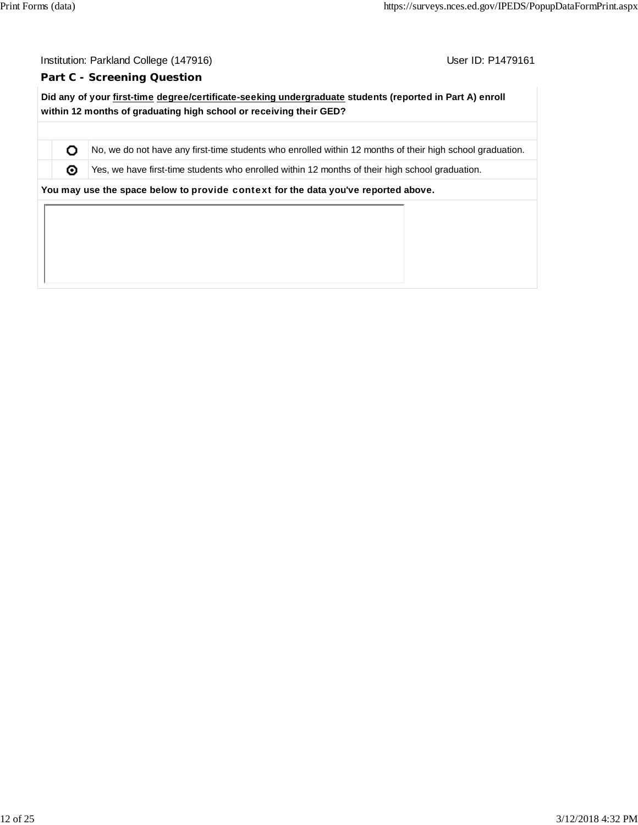O ⊚

User ID: P1479161

#### **Part C - Screening Question**

**Did any of your first-time degree/certificate-seeking undergraduate students (reported in Part A) enroll within 12 months of graduating high school or receiving their GED?**

No, we do not have any first-time students who enrolled within 12 months of their high school graduation.

Yes, we have first-time students who enrolled within 12 months of their high school graduation.

**You may use the space below to** provide context **for the data you've reported above.**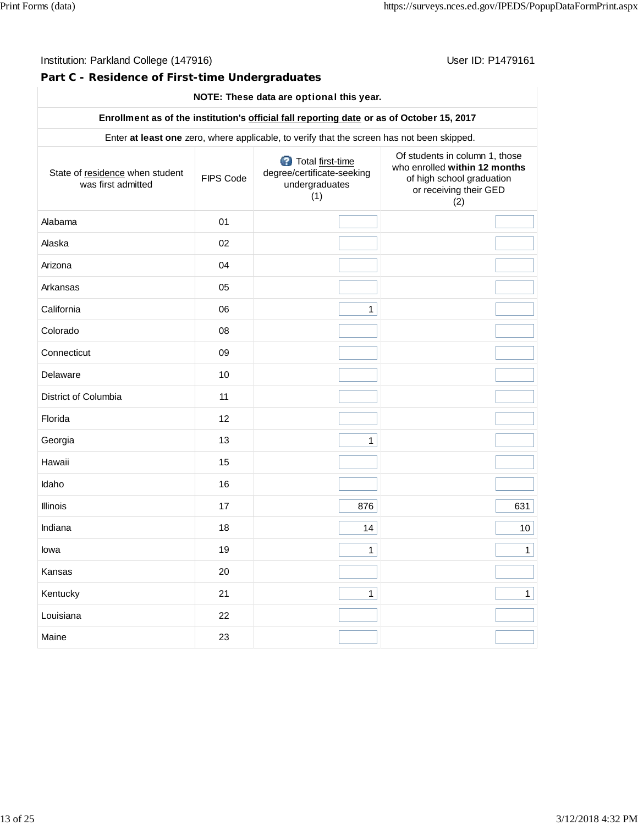**Part C - Residence of First-time Undergraduates**

# **NOTE: These data are** optional **this year.**

# **Enrollment as of the institution's official fall reporting date or as of October 15, 2017**

Enter **at least one** zero, where applicable, to verify that the screen has not been skipped.

| State of residence when student<br>was first admitted | FIPS Code | Total first-time<br>degree/certificate-seeking<br>undergraduates<br>(1) | Of students in column 1, those<br>who enrolled within 12 months<br>of high school graduation<br>or receiving their GED<br>(2) |
|-------------------------------------------------------|-----------|-------------------------------------------------------------------------|-------------------------------------------------------------------------------------------------------------------------------|
| Alabama                                               | 01        |                                                                         |                                                                                                                               |
| Alaska                                                | 02        |                                                                         |                                                                                                                               |
| Arizona                                               | 04        |                                                                         |                                                                                                                               |
| Arkansas                                              | 05        |                                                                         |                                                                                                                               |
| California                                            | 06        | $\mathbf{1}$                                                            |                                                                                                                               |
| Colorado                                              | 08        |                                                                         |                                                                                                                               |
| Connecticut                                           | 09        |                                                                         |                                                                                                                               |
| Delaware                                              | 10        |                                                                         |                                                                                                                               |
| District of Columbia                                  | 11        |                                                                         |                                                                                                                               |
| Florida                                               | 12        |                                                                         |                                                                                                                               |
| Georgia                                               | 13        | $\mathbf{1}$                                                            |                                                                                                                               |
| Hawaii                                                | 15        |                                                                         |                                                                                                                               |
| Idaho                                                 | 16        |                                                                         |                                                                                                                               |
| Illinois                                              | 17        | 876                                                                     | 631                                                                                                                           |
| Indiana                                               | 18        | 14                                                                      | 10 <sup>1</sup>                                                                                                               |
| lowa                                                  | 19        | $\mathbf{1}$                                                            | $\mathbf{1}$                                                                                                                  |
| Kansas                                                | 20        |                                                                         |                                                                                                                               |
| Kentucky                                              | 21        | $\mathbf{1}$                                                            | $\mathbf{1}$                                                                                                                  |
| Louisiana                                             | 22        |                                                                         |                                                                                                                               |
| Maine                                                 | 23        |                                                                         |                                                                                                                               |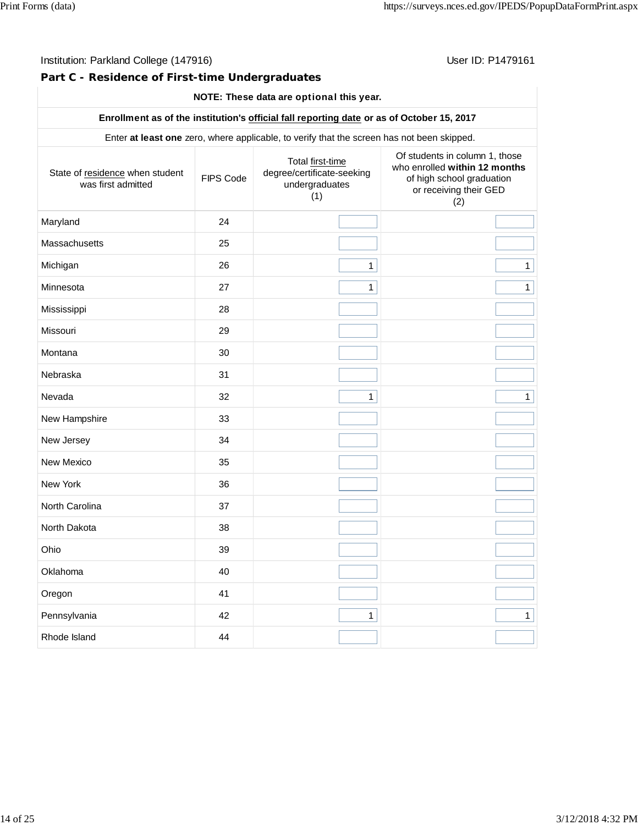**Part C - Residence of First-time Undergraduates**

# **NOTE: These data are** optional **this year.**

# **Enrollment as of the institution's official fall reporting date or as of October 15, 2017**

Enter **at least one** zero, where applicable, to verify that the screen has not been skipped.

| State of residence when student<br>was first admitted | FIPS Code | Total first-time<br>degree/certificate-seeking<br>undergraduates<br>(1) | Of students in column 1, those<br>who enrolled within 12 months<br>of high school graduation<br>or receiving their GED<br>(2) |
|-------------------------------------------------------|-----------|-------------------------------------------------------------------------|-------------------------------------------------------------------------------------------------------------------------------|
| Maryland                                              | 24        |                                                                         |                                                                                                                               |
| Massachusetts                                         | 25        |                                                                         |                                                                                                                               |
| Michigan                                              | 26        | $\mathbf{1}$                                                            | $\mathbf{1}$                                                                                                                  |
| Minnesota                                             | 27        | $\mathbf{1}$                                                            | $\mathbf{1}$                                                                                                                  |
| Mississippi                                           | 28        |                                                                         |                                                                                                                               |
| Missouri                                              | 29        |                                                                         |                                                                                                                               |
| Montana                                               | 30        |                                                                         |                                                                                                                               |
| Nebraska                                              | 31        |                                                                         |                                                                                                                               |
| Nevada                                                | 32        | $\mathbf{1}$                                                            | $\mathbf{1}$                                                                                                                  |
| New Hampshire                                         | 33        |                                                                         |                                                                                                                               |
| New Jersey                                            | 34        |                                                                         |                                                                                                                               |
| New Mexico                                            | 35        |                                                                         |                                                                                                                               |
| New York                                              | 36        |                                                                         |                                                                                                                               |
| North Carolina                                        | 37        |                                                                         |                                                                                                                               |
| North Dakota                                          | 38        |                                                                         |                                                                                                                               |
| Ohio                                                  | 39        |                                                                         |                                                                                                                               |
| Oklahoma                                              | 40        |                                                                         |                                                                                                                               |
| Oregon                                                | 41        |                                                                         |                                                                                                                               |
| Pennsylvania                                          | 42        | $\mathbf{1}$                                                            | $\mathbf{1}$                                                                                                                  |
| Rhode Island                                          | 44        |                                                                         |                                                                                                                               |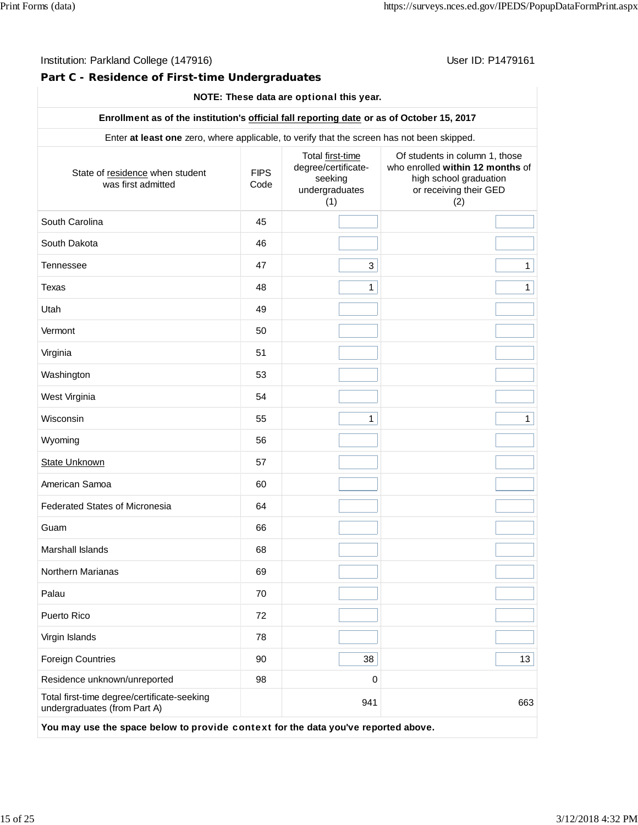# **Part C - Residence of First-time Undergraduates**

# **NOTE: These data are** optional **this year.**

# **Enrollment as of the institution's official fall reporting date or as of October 15, 2017**

Enter **at least one** zero, where applicable, to verify that the screen has not been skipped.

| State of residence when student<br>was first admitted                       | <b>FIPS</b><br>Code | Total first-time<br>degree/certificate-<br>seeking<br>undergraduates<br>(1) | Of students in column 1, those<br>who enrolled within 12 months of<br>high school graduation<br>or receiving their GED<br>(2) |
|-----------------------------------------------------------------------------|---------------------|-----------------------------------------------------------------------------|-------------------------------------------------------------------------------------------------------------------------------|
| South Carolina                                                              | 45                  |                                                                             |                                                                                                                               |
| South Dakota                                                                | 46                  |                                                                             |                                                                                                                               |
| <b>Tennessee</b>                                                            | 47                  | 3                                                                           | 1                                                                                                                             |
| Texas                                                                       | 48                  | $\mathbf{1}$                                                                | 1                                                                                                                             |
| Utah                                                                        | 49                  |                                                                             |                                                                                                                               |
| Vermont                                                                     | 50                  |                                                                             |                                                                                                                               |
| Virginia                                                                    | 51                  |                                                                             |                                                                                                                               |
| Washington                                                                  | 53                  |                                                                             |                                                                                                                               |
| West Virginia                                                               | 54                  |                                                                             |                                                                                                                               |
| Wisconsin                                                                   | 55                  | $\mathbf{1}$                                                                | $\mathbf{1}$                                                                                                                  |
| Wyoming                                                                     | 56                  |                                                                             |                                                                                                                               |
| <b>State Unknown</b>                                                        | 57                  |                                                                             |                                                                                                                               |
| American Samoa                                                              | 60                  |                                                                             |                                                                                                                               |
| <b>Federated States of Micronesia</b>                                       | 64                  |                                                                             |                                                                                                                               |
| Guam                                                                        | 66                  |                                                                             |                                                                                                                               |
| Marshall Islands                                                            | 68                  |                                                                             |                                                                                                                               |
| Northern Marianas                                                           | 69                  |                                                                             |                                                                                                                               |
| Palau                                                                       | 70                  |                                                                             |                                                                                                                               |
| Puerto Rico                                                                 | 72                  |                                                                             |                                                                                                                               |
| Virgin Islands                                                              | 78                  |                                                                             |                                                                                                                               |
| <b>Foreign Countries</b>                                                    | 90                  | 38                                                                          | 13                                                                                                                            |
| Residence unknown/unreported                                                | 98                  | $\pmb{0}$                                                                   |                                                                                                                               |
| Total first-time degree/certificate-seeking<br>undergraduates (from Part A) |                     | 941                                                                         | 663                                                                                                                           |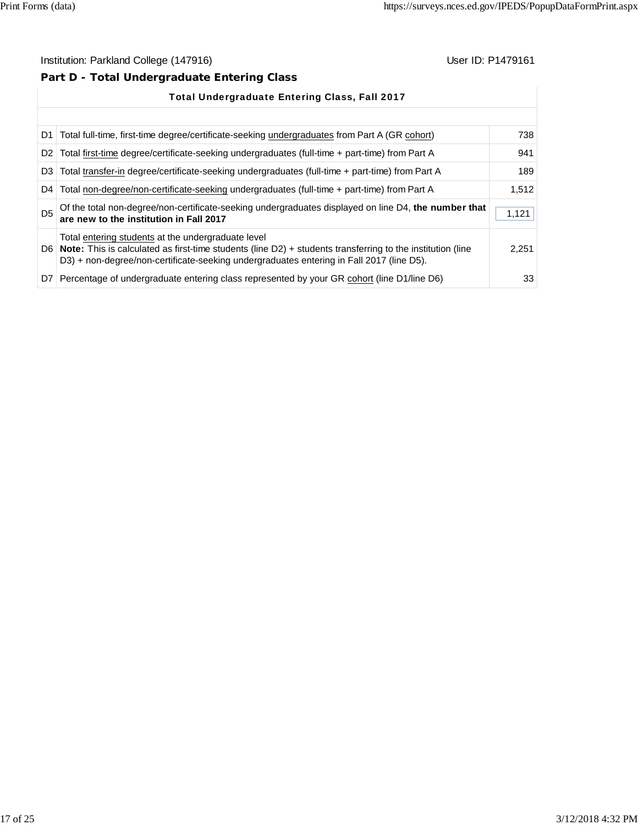# **Part D - Total Undergraduate Entering Class**

|                | <b>Total Undergraduate Entering Class, Fall 2017</b>                                                                                                                                                                                                                 |       |
|----------------|----------------------------------------------------------------------------------------------------------------------------------------------------------------------------------------------------------------------------------------------------------------------|-------|
|                |                                                                                                                                                                                                                                                                      |       |
| D <sub>1</sub> | Total full-time, first-time degree/certificate-seeking undergraduates from Part A (GR cohort)                                                                                                                                                                        | 738   |
| D <sub>2</sub> | Total first-time degree/certificate-seeking undergraduates (full-time + part-time) from Part A                                                                                                                                                                       | 941   |
| D <sub>3</sub> | Total transfer-in degree/certificate-seeking undergraduates (full-time + part-time) from Part A                                                                                                                                                                      | 189   |
| D4 l           | Total non-degree/non-certificate-seeking undergraduates (full-time + part-time) from Part A                                                                                                                                                                          | 1,512 |
| D <sub>5</sub> | Of the total non-degree/non-certificate-seeking undergraduates displayed on line D4, the number that<br>are new to the institution in Fall 2017                                                                                                                      | 1,121 |
|                | Total entering students at the undergraduate level<br>D6   Note: This is calculated as first-time students (line $D2$ ) + students transferring to the institution (line<br>D3) + non-degree/non-certificate-seeking undergraduates entering in Fall 2017 (line D5). | 2.251 |
| D7 I           | Percentage of undergraduate entering class represented by your GR cohort (line D1/line D6)                                                                                                                                                                           | 33    |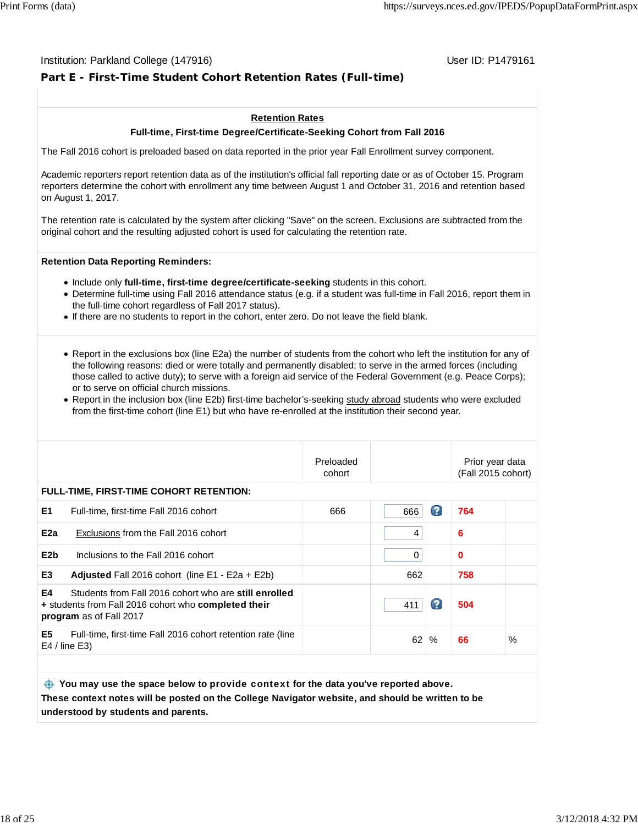#### Institution: Parkland College (147916) November 2012 12: P1479161

# **Part E - First-Time Student Cohort Retention Rates (Full-time)**

#### **Retention Rates**

#### **Full-time, First-time Degree/Certificate-Seeking Cohort from Fall 2016**

The Fall 2016 cohort is preloaded based on data reported in the prior year Fall Enrollment survey component.

Academic reporters report retention data as of the institution's official fall reporting date or as of October 15. Program reporters determine the cohort with enrollment any time between August 1 and October 31, 2016 and retention based on August 1, 2017.

The retention rate is calculated by the system after clicking "Save" on the screen. Exclusions are subtracted from the original cohort and the resulting adjusted cohort is used for calculating the retention rate.

#### **Retention Data Reporting Reminders:**

- **Include only full-time, first-time degree/certificate-seeking students in this cohort.**
- Determine full-time using Fall 2016 attendance status (e.g. if a student was full-time in Fall 2016, report them in the full-time cohort regardless of Fall 2017 status).
- If there are no students to report in the cohort, enter zero. Do not leave the field blank.
- Report in the exclusions box (line E2a) the number of students from the cohort who left the institution for any of the following reasons: died or were totally and permanently disabled; to serve in the armed forces (including those called to active duty); to serve with a foreign aid service of the Federal Government (e.g. Peace Corps); or to serve on official church missions.
- Report in the inclusion box (line E2b) first-time bachelor's-seeking study abroad students who were excluded from the first-time cohort (line E1) but who have re-enrolled at the institution their second year.

|                  |                                                                                                                                          | Preloaded<br>cohort |          |   | Prior year data<br>(Fall 2015 cohort) |      |
|------------------|------------------------------------------------------------------------------------------------------------------------------------------|---------------------|----------|---|---------------------------------------|------|
|                  | <b>FULL-TIME, FIRST-TIME COHORT RETENTION:</b>                                                                                           |                     |          |   |                                       |      |
| E1               | Full-time, first-time Fall 2016 cohort                                                                                                   | 666                 | 666      | Ω | 764                                   |      |
| E <sub>2a</sub>  | Exclusions from the Fall 2016 cohort                                                                                                     |                     | 4        |   | 6                                     |      |
| E <sub>2</sub> b | Inclusions to the Fall 2016 cohort                                                                                                       |                     | $\Omega$ |   | $\mathbf 0$                           |      |
| E <sub>3</sub>   | <b>Adjusted</b> Fall 2016 cohort (line $E1 - E2a + E2b$ )                                                                                |                     | 662      |   | 758                                   |      |
| E4               | Students from Fall 2016 cohort who are still enrolled<br>+ students from Fall 2016 cohort who completed their<br>program as of Fall 2017 |                     | 411      | Ø | 504                                   |      |
| E <sub>5</sub>   | Full-time, first-time Fall 2016 cohort retention rate (line<br>$E4$ / line $E3$ )                                                        |                     | 62       | % | 66                                    | $\%$ |
|                  |                                                                                                                                          |                     |          |   |                                       |      |

 **You may use the space below to** provide context **for the data you've reported above. These context notes will be posted on the College Navigator website, and should be written to be understood by students and parents.**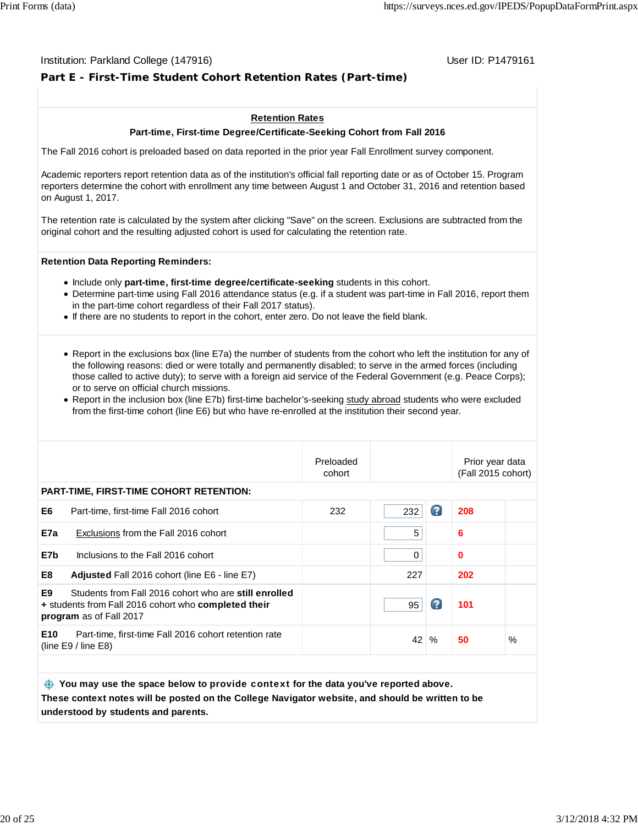#### Institution: Parkland College (147916) November 2012 12: P1479161

# **Part E - First-Time Student Cohort Retention Rates (Part-time)**

#### **Retention Rates**

#### **Part-time, First-time Degree/Certificate-Seeking Cohort from Fall 2016**

The Fall 2016 cohort is preloaded based on data reported in the prior year Fall Enrollment survey component.

Academic reporters report retention data as of the institution's official fall reporting date or as of October 15. Program reporters determine the cohort with enrollment any time between August 1 and October 31, 2016 and retention based on August 1, 2017.

The retention rate is calculated by the system after clicking "Save" on the screen. Exclusions are subtracted from the original cohort and the resulting adjusted cohort is used for calculating the retention rate.

#### **Retention Data Reporting Reminders:**

- Include only **part-time, first-time degree/certificate-seeking** students in this cohort.
- Determine part-time using Fall 2016 attendance status (e.g. if a student was part-time in Fall 2016, report them in the part-time cohort regardless of their Fall 2017 status).
- If there are no students to report in the cohort, enter zero. Do not leave the field blank.
- Report in the exclusions box (line E7a) the number of students from the cohort who left the institution for any of the following reasons: died or were totally and permanently disabled; to serve in the armed forces (including those called to active duty); to serve with a foreign aid service of the Federal Government (e.g. Peace Corps); or to serve on official church missions.
- Report in the inclusion box (line E7b) first-time bachelor's-seeking study abroad students who were excluded from the first-time cohort (line E6) but who have re-enrolled at the institution their second year.

|                 |                                                                                                                                                 | Preloaded<br>cohort |          |      | Prior year data<br>(Fall 2015 cohort) |      |
|-----------------|-------------------------------------------------------------------------------------------------------------------------------------------------|---------------------|----------|------|---------------------------------------|------|
|                 | <b>PART-TIME, FIRST-TIME COHORT RETENTION:</b>                                                                                                  |                     |          |      |                                       |      |
| E6              | Part-time, first-time Fall 2016 cohort                                                                                                          | 232                 | 232      | Ø    | 208                                   |      |
| E7a             | Exclusions from the Fall 2016 cohort                                                                                                            |                     | 5        |      | 6                                     |      |
| E7b             | Inclusions to the Fall 2016 cohort                                                                                                              |                     | $\Omega$ |      | $\bf{0}$                              |      |
| E8              | <b>Adjusted</b> Fall 2016 cohort (line E6 - line E7)                                                                                            |                     | 227      |      | 202                                   |      |
| E9              | Students from Fall 2016 cohort who are still enrolled<br>+ students from Fall 2016 cohort who <b>completed their</b><br>program as of Fall 2017 |                     | 95       | Ø    | 101                                   |      |
| E <sub>10</sub> | Part-time, first-time Fall 2016 cohort retention rate<br>(line $E9/$ line $E8$ )                                                                |                     | 42       | $\%$ | 50                                    | $\%$ |
|                 |                                                                                                                                                 |                     |          |      |                                       |      |
|                 |                                                                                                                                                 |                     |          |      |                                       |      |

 **You may use the space below to** provide context **for the data you've reported above. These context notes will be posted on the College Navigator website, and should be written to be understood by students and parents.**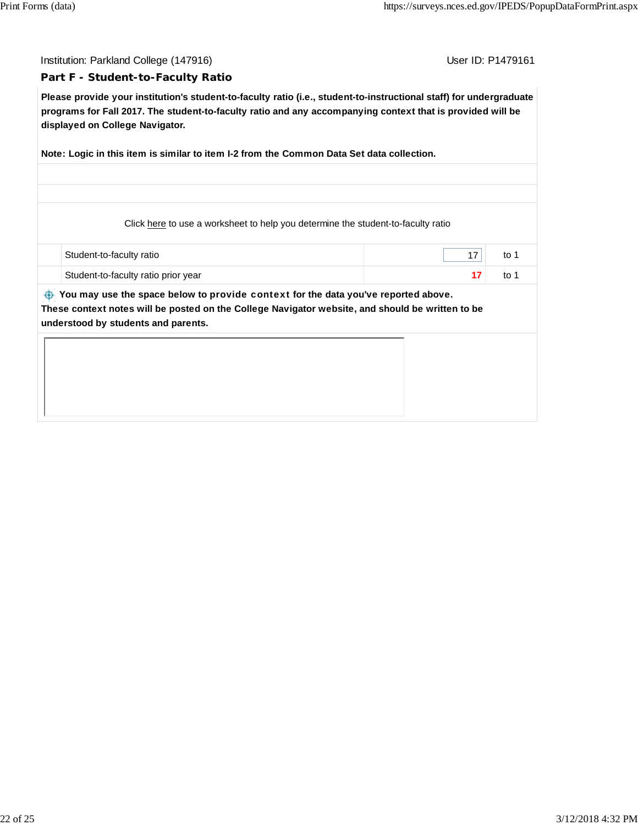Institution: Parkland College (147916) November 2012 12: P1479161

#### **Part F - Student-to-Faculty Ratio**

**Please provide your institution's student-to-faculty ratio (i.e., student-to-instructional staff) for undergraduate programs for Fall 2017. The student-to-faculty ratio and any accompanying context that is provided will be displayed on College Navigator.**

**Note: Logic in this item is similar to item I-2 from the Common Data Set data collection.**

Click here to use a worksheet to help you determine the student-to-faculty ratio

| Student-to-faculty ratio            | to |
|-------------------------------------|----|
| Student-to-faculty ratio prior year | to |

 **You may use the space below to** provide context **for the data you've reported above. These context notes will be posted on the College Navigator website, and should be written to be understood by students and parents.**

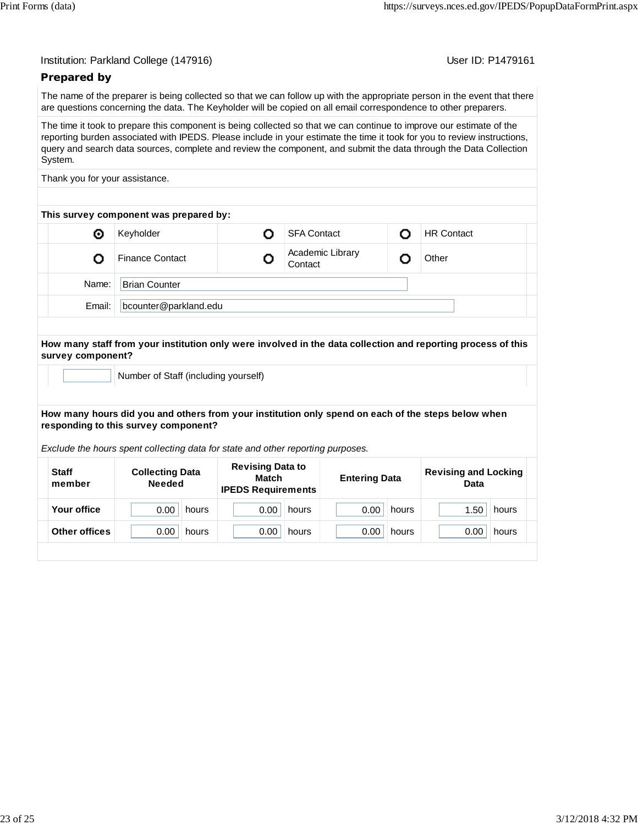User ID: P1479161

# **Prepared by**

The name of the preparer is being collected so that we can follow up with the appropriate person in the event that there are questions concerning the data. The Keyholder will be copied on all email correspondence to other preparers.

The time it took to prepare this component is being collected so that we can continue to improve our estimate of the reporting burden associated with IPEDS. Please include in your estimate the time it took for you to review instructions, query and search data sources, complete and review the component, and submit the data through the Data Collection System.

Thank you for your assistance.

| This survey component was prepared by: |                        |  |                             |  |                   |  |
|----------------------------------------|------------------------|--|-----------------------------|--|-------------------|--|
| ⊙                                      | Keyholder              |  | <b>SFA Contact</b>          |  | <b>HR Contact</b> |  |
|                                        | <b>Finance Contact</b> |  | Academic Library<br>Contact |  | Other             |  |
| Name:                                  | <b>Brian Counter</b>   |  |                             |  |                   |  |
| Email:                                 | bcounter@parkland.edu  |  |                             |  |                   |  |
|                                        |                        |  |                             |  |                   |  |

#### **How many staff from your institution only were involved in the data collection and reporting process of this survey component?**

Number of Staff (including yourself)

#### **How many hours did you and others from your institution only spend on each of the steps below when responding to this survey component?**

*Exclude the hours spent collecting data for state and other reporting purposes.*

| <b>Staff</b><br><b>Collecting Data</b><br>Match<br><b>Needed</b><br>member<br><b>IPEDS Requirements</b> |       | <b>Entering Data</b> |       | <b>Revising and Locking</b><br>Data |       |
|---------------------------------------------------------------------------------------------------------|-------|----------------------|-------|-------------------------------------|-------|
| Your office<br>0.00<br>0.00<br>hours                                                                    | hours | 0.00                 | hours | 1.50                                | hours |
| Other offices<br>0.00<br>0.00<br>hours                                                                  | hours | 0.00                 | hours | 0.00                                | hours |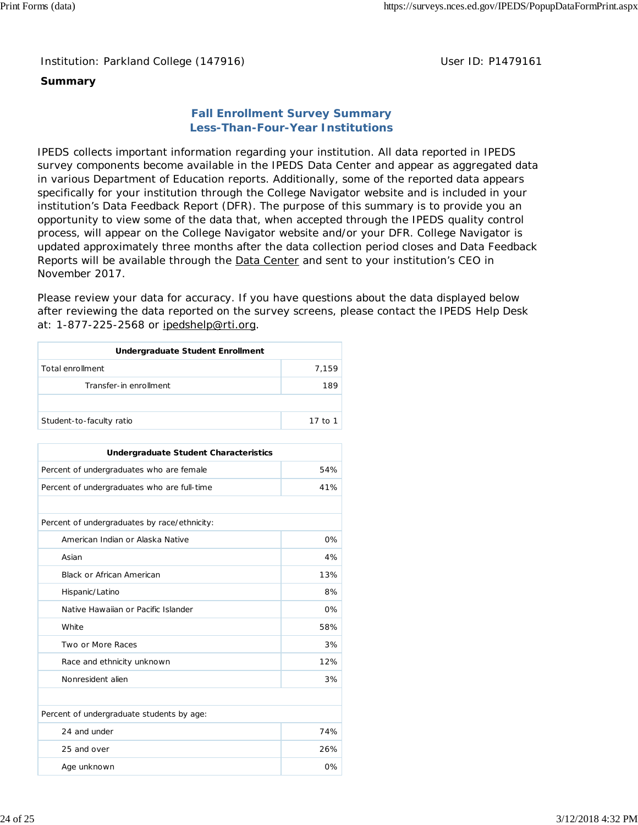Institution: Parkland College (147916) **Distribution: Parkland College (1479161** College College College College College College College College College College College College College College College College College Colle

# **Summary**

# **Fall Enrollment Survey Summary Less-Than-Four-Year Institutions**

IPEDS collects important information regarding your institution. All data reported in IPEDS survey components become available in the IPEDS Data Center and appear as aggregated data in various Department of Education reports. Additionally, some of the reported data appears specifically for your institution through the College Navigator website and is included in your institution's Data Feedback Report (DFR). The purpose of this summary is to provide you an opportunity to view some of the data that, when accepted through the IPEDS quality control process, will appear on the College Navigator website and/or your DFR. College Navigator is updated approximately three months after the data collection period closes and Data Feedback Reports will be available through the Data Center and sent to your institution's CEO in November 2017.

Please review your data for accuracy. If you have questions about the data displayed below after reviewing the data reported on the survey screens, please contact the IPEDS Help Desk at: 1-877-225-2568 or ipedshelp@rti.org.

| Undergraduate Student Enrollment |         |  |  |
|----------------------------------|---------|--|--|
| Total enrollment                 | 7.159   |  |  |
| Transfer-in enrollment           | 189     |  |  |
|                                  |         |  |  |
| Student-to-faculty ratio         | 17 to 1 |  |  |

| Undergraduate Student Characteristics        |       |  |  |  |
|----------------------------------------------|-------|--|--|--|
| Percent of undergraduates who are female     | 54%   |  |  |  |
| Percent of undergraduates who are full-time  | 41%   |  |  |  |
|                                              |       |  |  |  |
| Percent of undergraduates by race/ethnicity: |       |  |  |  |
| American Indian or Alaska Native             | $0\%$ |  |  |  |
| Asian                                        | 4%    |  |  |  |
| <b>Black or African American</b>             | 13%   |  |  |  |
| Hispanic/Latino                              | 8%    |  |  |  |
| Native Hawaiian or Pacific Islander          | $0\%$ |  |  |  |
| White                                        | 58%   |  |  |  |
| Two or More Races                            | 3%    |  |  |  |
| Race and ethnicity unknown                   | 12%   |  |  |  |
| Nonresident alien                            | 3%    |  |  |  |
|                                              |       |  |  |  |
| Percent of undergraduate students by age:    |       |  |  |  |
| 24 and under                                 | 74%   |  |  |  |
| 25 and over                                  | 26%   |  |  |  |
| Age unknown                                  | 0%    |  |  |  |